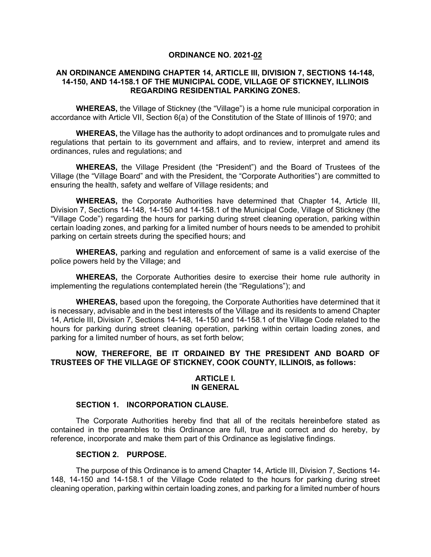### **ORDINANCE NO. 2021-02**

### **AN ORDINANCE AMENDING CHAPTER 14, ARTICLE III, DIVISION 7, SECTIONS 14-148, 14-150, AND 14-158.1 OF THE MUNICIPAL CODE, VILLAGE OF STICKNEY, ILLINOIS REGARDING RESIDENTIAL PARKING ZONES.**

**WHEREAS,** the Village of Stickney (the "Village") is a home rule municipal corporation in accordance with Article VII, Section 6(a) of the Constitution of the State of Illinois of 1970; and

**WHEREAS,** the Village has the authority to adopt ordinances and to promulgate rules and regulations that pertain to its government and affairs, and to review, interpret and amend its ordinances, rules and regulations; and

**WHEREAS,** the Village President (the "President") and the Board of Trustees of the Village (the "Village Board" and with the President, the "Corporate Authorities") are committed to ensuring the health, safety and welfare of Village residents; and

**WHEREAS,** the Corporate Authorities have determined that Chapter 14, Article III, Division 7, Sections 14-148, 14-150 and 14-158.1 of the Municipal Code, Village of Stickney (the "Village Code") regarding the hours for parking during street cleaning operation, parking within certain loading zones, and parking for a limited number of hours needs to be amended to prohibit parking on certain streets during the specified hours; and

**WHEREAS,** parking and regulation and enforcement of same is a valid exercise of the police powers held by the Village; and

**WHEREAS,** the Corporate Authorities desire to exercise their home rule authority in implementing the regulations contemplated herein (the "Regulations"); and

**WHEREAS,** based upon the foregoing, the Corporate Authorities have determined that it is necessary, advisable and in the best interests of the Village and its residents to amend Chapter 14, Article III, Division 7, Sections 14-148, 14-150 and 14-158.1 of the Village Code related to the hours for parking during street cleaning operation, parking within certain loading zones, and parking for a limited number of hours, as set forth below;

### **NOW, THEREFORE, BE IT ORDAINED BY THE PRESIDENT AND BOARD OF TRUSTEES OF THE VILLAGE OF STICKNEY, COOK COUNTY, ILLINOIS, as follows:**

#### **ARTICLE I. IN GENERAL**

### **SECTION 1. INCORPORATION CLAUSE.**

The Corporate Authorities hereby find that all of the recitals hereinbefore stated as contained in the preambles to this Ordinance are full, true and correct and do hereby, by reference, incorporate and make them part of this Ordinance as legislative findings.

### **SECTION 2. PURPOSE.**

The purpose of this Ordinance is to amend Chapter 14, Article III, Division 7, Sections 14- 148, 14-150 and 14-158.1 of the Village Code related to the hours for parking during street cleaning operation, parking within certain loading zones, and parking for a limited number of hours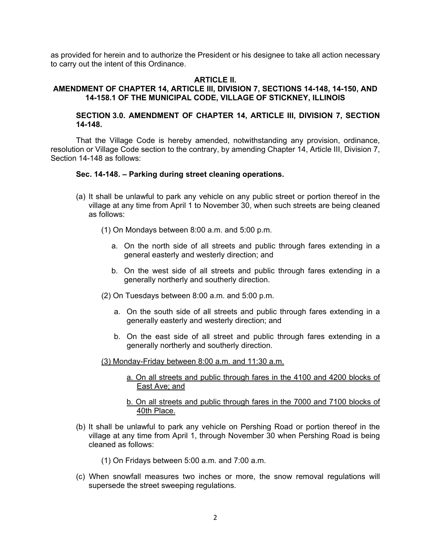as provided for herein and to authorize the President or his designee to take all action necessary to carry out the intent of this Ordinance.

### **ARTICLE II.**

### **AMENDMENT OF CHAPTER 14, ARTICLE III, DIVISION 7, SECTIONS 14-148, 14-150, AND 14-158.1 OF THE MUNICIPAL CODE, VILLAGE OF STICKNEY, ILLINOIS**

### **SECTION 3.0. AMENDMENT OF CHAPTER 14, ARTICLE III, DIVISION 7, SECTION 14-148.**

That the Village Code is hereby amended, notwithstanding any provision, ordinance, resolution or Village Code section to the contrary, by amending Chapter 14, Article III, Division 7, Section 14-148 as follows:

#### **Sec. 14-148. – Parking during street cleaning operations.**

- (a) It shall be unlawful to park any vehicle on any public street or portion thereof in the village at any time from April 1 to November 30, when such streets are being cleaned as follows:
	- (1) On Mondays between 8:00 a.m. and 5:00 p.m.
		- a. On the north side of all streets and public through fares extending in a general easterly and westerly direction; and
		- b. On the west side of all streets and public through fares extending in a generally northerly and southerly direction.
	- (2) On Tuesdays between 8:00 a.m. and 5:00 p.m.
		- a. On the south side of all streets and public through fares extending in a generally easterly and westerly direction; and
		- b. On the east side of all street and public through fares extending in a generally northerly and southerly direction.

(3) Monday-Friday between 8:00 a.m. and 11:30 a.m.

- a. On all streets and public through fares in the 4100 and 4200 blocks of East Ave; and
- b. On all streets and public through fares in the 7000 and 7100 blocks of 40th Place.
- (b) It shall be unlawful to park any vehicle on Pershing Road or portion thereof in the village at any time from April 1, through November 30 when Pershing Road is being cleaned as follows:
	- (1) On Fridays between 5:00 a.m. and 7:00 a.m.
- (c) When snowfall measures two inches or more, the snow removal regulations will supersede the street sweeping regulations.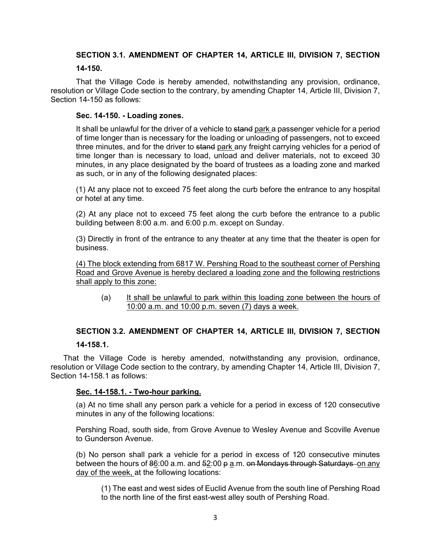# **SECTION 3.1. AMENDMENT OF CHAPTER 14, ARTICLE III, DIVISION 7, SECTION**

### **14-150.**

That the Village Code is hereby amended, notwithstanding any provision, ordinance, resolution or Village Code section to the contrary, by amending Chapter 14, Article III, Division 7, Section 14-150 as follows:

### **Sec. 14-150. - Loading zones.**

It shall be unlawful for the driver of a vehicle to stand park a passenger vehicle for a period of time longer than is necessary for the loading or unloading of passengers, not to exceed three minutes, and for the driver to stand park any freight carrying vehicles for a period of time longer than is necessary to load, unload and deliver materials, not to exceed 30 minutes, in any place designated by the board of trustees as a loading zone and marked as such, or in any of the following designated places:

(1) At any place not to exceed 75 feet along the curb before the entrance to any hospital or hotel at any time.

(2) At any place not to exceed 75 feet along the curb before the entrance to a public building between 8:00 a.m. and 6:00 p.m. except on Sunday.

(3) Directly in front of the entrance to any theater at any time that the theater is open for business.

(4) The block extending from 6817 W. Pershing Road to the southeast corner of Pershing Road and Grove Avenue is hereby declared a loading zone and the following restrictions shall apply to this zone:

(a) It shall be unlawful to park within this loading zone between the hours of 10:00 a.m. and 10:00 p.m. seven (7) days a week.

# **SECTION 3.2. AMENDMENT OF CHAPTER 14, ARTICLE III, DIVISION 7, SECTION 14-158.1.**

That the Village Code is hereby amended, notwithstanding any provision, ordinance, resolution or Village Code section to the contrary, by amending Chapter 14, Article III, Division 7, Section 14-158.1 as follows:

## **Sec. 14-158.1. - Two-hour parking.**

(a) At no time shall any person park a vehicle for a period in excess of 120 consecutive minutes in any of the following locations:

Pershing Road, south side, from Grove Avenue to Wesley Avenue and Scoville Avenue to Gunderson Avenue.

(b) No person shall park a vehicle for a period in excess of 120 consecutive minutes between the hours of  $86:00$  a.m. and  $52:00$  p a.m. on Mondays through Saturdays on any day of the week, at the following locations:

(1) The east and west sides of Euclid Avenue from the south line of Pershing Road to the north line of the first east-west alley south of Pershing Road.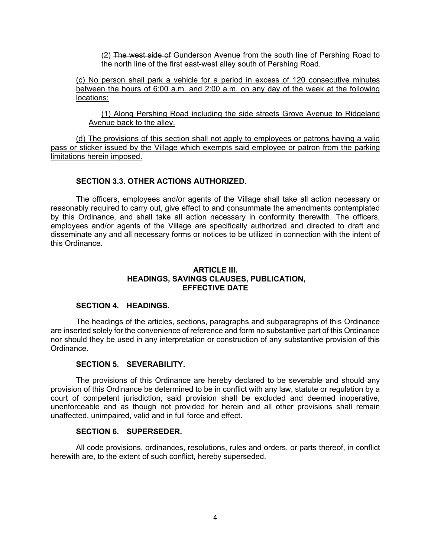(2) The west side of Gunderson Avenue from the south line of Pershing Road to the north line of the first east-west alley south of Pershing Road.

(c) No person shall park a vehicle for a period in excess of 120 consecutive minutes between the hours of 6:00 a.m. and 2:00 a.m. on any day of the week at the following locations:

(1) Along Pershing Road including the side streets Grove Avenue to Ridgeland Avenue back to the alley.

(d) The provisions of this section shall not apply to employees or patrons having a valid pass or sticker issued by the Village which exempts said employee or patron from the parking limitations herein imposed.

### **SECTION 3.3. OTHER ACTIONS AUTHORIZED.**

The officers, employees and/or agents of the Village shall take all action necessary or reasonably required to carry out, give effect to and consummate the amendments contemplated by this Ordinance, and shall take all action necessary in conformity therewith. The officers, employees and/or agents of the Village are specifically authorized and directed to draft and disseminate any and all necessary forms or notices to be utilized in connection with the intent of this Ordinance.

#### **ARTICLE III. HEADINGS, SAVINGS CLAUSES, PUBLICATION, EFFECTIVE DATE**

#### **SECTION 4. HEADINGS.**

The headings of the articles, sections, paragraphs and subparagraphs of this Ordinance are inserted solely for the convenience of reference and form no substantive part of this Ordinance nor should they be used in any interpretation or construction of any substantive provision of this Ordinance.

#### **SECTION 5. SEVERABILITY.**

The provisions of this Ordinance are hereby declared to be severable and should any provision of this Ordinance be determined to be in conflict with any law, statute or regulation by a court of competent jurisdiction, said provision shall be excluded and deemed inoperative, unenforceable and as though not provided for herein and all other provisions shall remain unaffected, unimpaired, valid and in full force and effect.

#### **SECTION 6. SUPERSEDER.**

All code provisions, ordinances, resolutions, rules and orders, or parts thereof, in conflict herewith are, to the extent of such conflict, hereby superseded.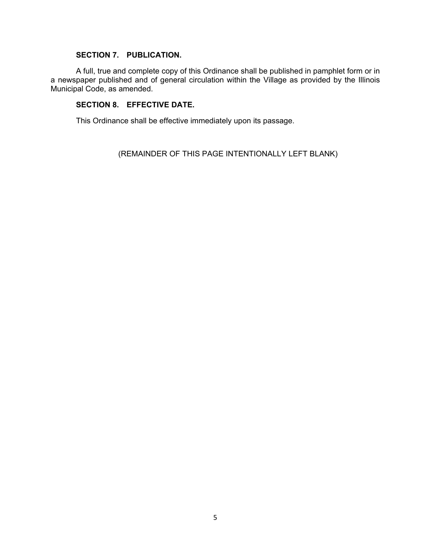# **SECTION 7. PUBLICATION.**

A full, true and complete copy of this Ordinance shall be published in pamphlet form or in a newspaper published and of general circulation within the Village as provided by the Illinois Municipal Code, as amended.

# **SECTION 8. EFFECTIVE DATE.**

This Ordinance shall be effective immediately upon its passage.

(REMAINDER OF THIS PAGE INTENTIONALLY LEFT BLANK)